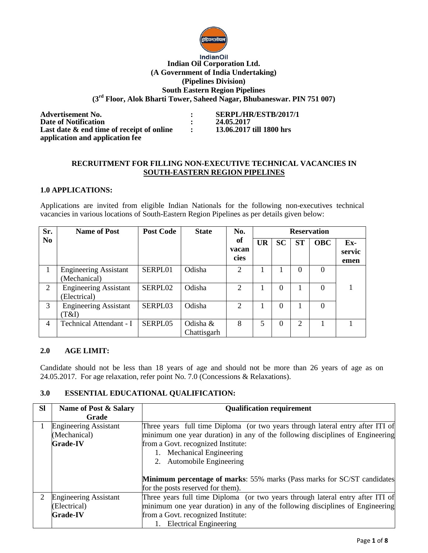

#### **IndianOil Indian Oil Corporation Ltd. (A Government of India Undertaking) (Pipelines Division) South Eastern Region Pipelines (3 rd Floor, Alok Bharti Tower, Saheed Nagar, Bhubaneswar. PIN 751 007)**

**Advertisement No.** <br> **24.05.2017 <br>
<b>Date of Notification**<br> **24.05.2017 Date of Notification Last date & end time of receipt of online : 13.06.2017 till 1800 hrs application and application fee**

#### **RECRUITMENT FOR FILLING NON-EXECUTIVE TECHNICAL VACANCIES IN SOUTH-EASTERN REGION PIPELINES**

### **1.0 APPLICATIONS:**

Applications are invited from eligible Indian Nationals for the following non-executives technical vacancies in various locations of South-Eastern Region Pipelines as per details given below:

| Sr.            | <b>Name of Post</b>                          | <b>Post Code</b> | <b>State</b>            | No.                 |           |           |           | <b>Reservation</b> |                       |
|----------------|----------------------------------------------|------------------|-------------------------|---------------------|-----------|-----------|-----------|--------------------|-----------------------|
| N <sub>0</sub> |                                              |                  |                         | of<br>vacan<br>cies | <b>UR</b> | <b>SC</b> | <b>ST</b> | <b>OBC</b>         | Ex-<br>servic<br>emen |
| 1              | <b>Engineering Assistant</b><br>(Mechanical) | SERPL01          | Odisha                  | 2                   |           |           | 0         | $\Omega$           |                       |
| 2              | <b>Engineering Assistant</b><br>Electrical)  | SERPL02          | Odisha                  | $\mathfrak{D}$      |           | 0         |           | 0                  |                       |
| 3              | <b>Engineering Assistant</b><br>(T&I)        | SERPL03          | Odisha                  | $\mathfrak{D}$      |           | $\Omega$  |           | 0                  |                       |
| 4              | Technical Attendant - I                      | SERPL05          | Odisha &<br>Chattisgarh | 8                   | 5         | $\Omega$  | 2         |                    |                       |

#### **2.0 AGE LIMIT:**

Candidate should not be less than 18 years of age and should not be more than 26 years of age as on 24.05.2017. For age relaxation, refer point No. 7.0 (Concessions & Relaxations).

#### **3.0 ESSENTIAL EDUCATIONAL QUALIFICATION:**

| <b>SI</b> | Name of Post & Salary        | <b>Qualification requirement</b>                                                |  |  |
|-----------|------------------------------|---------------------------------------------------------------------------------|--|--|
|           | Grade                        |                                                                                 |  |  |
|           | <b>Engineering Assistant</b> | Three years full time Diploma (or two years through lateral entry after ITI of  |  |  |
|           | (Mechanical)                 | minimum one year duration) in any of the following disciplines of Engineering   |  |  |
|           | <b>Grade-IV</b>              | from a Govt. recognized Institute:                                              |  |  |
|           |                              | 1. Mechanical Engineering                                                       |  |  |
|           |                              | 2. Automobile Engineering                                                       |  |  |
|           |                              |                                                                                 |  |  |
|           |                              | <b>Minimum percentage of marks:</b> 55% marks (Pass marks for SC/ST candidates) |  |  |
|           |                              | for the posts reserved for them).                                               |  |  |
| 2         | <b>Engineering Assistant</b> | Three years full time Diploma (or two years through lateral entry after ITI of  |  |  |
|           | (Electrical)                 | minimum one year duration) in any of the following disciplines of Engineering   |  |  |
|           | <b>Grade-IV</b>              | from a Govt. recognized Institute:                                              |  |  |
|           |                              | 1. Electrical Engineering                                                       |  |  |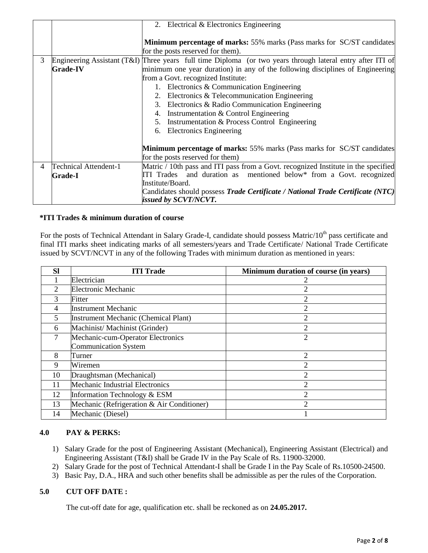|   |                       | 2. Electrical & Electronics Engineering                                                                    |  |  |  |
|---|-----------------------|------------------------------------------------------------------------------------------------------------|--|--|--|
|   |                       |                                                                                                            |  |  |  |
|   |                       | <b>Minimum percentage of marks:</b> 55% marks (Pass marks for SC/ST candidates)                            |  |  |  |
|   |                       | for the posts reserved for them).                                                                          |  |  |  |
| 3 |                       | Engineering Assistant (T&I) Three years full time Diploma (or two years through lateral entry after ITI of |  |  |  |
|   | <b>Grade-IV</b>       | minimum one year duration) in any of the following disciplines of Engineering                              |  |  |  |
|   |                       | from a Govt. recognized Institute:                                                                         |  |  |  |
|   |                       | 1. Electronics & Communication Engineering                                                                 |  |  |  |
|   |                       | 2. Electronics & Telecommunication Engineering                                                             |  |  |  |
|   |                       | 3. Electronics & Radio Communication Engineering                                                           |  |  |  |
|   |                       | Instrumentation & Control Engineering<br>4.                                                                |  |  |  |
|   |                       | 5. Instrumentation & Process Control Engineering                                                           |  |  |  |
|   |                       | 6. Electronics Engineering                                                                                 |  |  |  |
|   |                       |                                                                                                            |  |  |  |
|   |                       | <b>Minimum percentage of marks:</b> 55% marks (Pass marks for SC/ST candidates)                            |  |  |  |
|   |                       | for the posts reserved for them)                                                                           |  |  |  |
| 4 | Technical Attendent-1 | Matric / 10th pass and ITI pass from a Govt. recognized Institute in the specified                         |  |  |  |
|   | <b>Grade-I</b>        | ITI Trades and duration as mentioned below* from a Govt. recognized                                        |  |  |  |
|   |                       | Institute/Board.                                                                                           |  |  |  |
|   |                       | Candidates should possess <i>Trade Certificate / National Trade Certificate (NTC)</i>                      |  |  |  |
|   |                       | issued by SCVT/NCVT.                                                                                       |  |  |  |

#### **\*ITI Trades & minimum duration of course**

For the posts of Technical Attendant in Salary Grade-I, candidate should possess Matric/10<sup>th</sup> pass certificate and final ITI marks sheet indicating marks of all semesters/years and Trade Certificate/ National Trade Certificate issued by SCVT/NCVT in any of the following Trades with minimum duration as mentioned in years:

| <b>Sl</b>      | <b>ITI Trade</b>                           | Minimum duration of course (in years) |
|----------------|--------------------------------------------|---------------------------------------|
|                | Electrician                                |                                       |
| $\mathfrak{D}$ | <b>Electronic Mechanic</b>                 | 2                                     |
| 3              | Fitter                                     |                                       |
| 4              | <b>Instrument Mechanic</b>                 | 2                                     |
| 5              | Instrument Mechanic (Chemical Plant)       | っ                                     |
| 6              | Machinist/Machinist (Grinder)              | 2                                     |
| 7              | Mechanic-cum-Operator Electronics          | $\overline{2}$                        |
|                | <b>Communication System</b>                |                                       |
| 8              | Turner                                     | ↑                                     |
| 9              | Wiremen                                    | 2                                     |
| 10             | Draughtsman (Mechanical)                   | 2                                     |
| 11             | Mechanic Industrial Electronics            | $\overline{2}$                        |
| 12             | Information Technology & ESM               | ↑                                     |
| 13             | Mechanic (Refrigeration & Air Conditioner) | ↑                                     |
| 14             | Mechanic (Diesel)                          |                                       |

# **4.0 PAY & PERKS:**

- 1) Salary Grade for the post of Engineering Assistant (Mechanical), Engineering Assistant (Electrical) and Engineering Assistant (T&I) shall be Grade IV in the Pay Scale of Rs. 11900-32000.
- 2) Salary Grade for the post of Technical Attendant-I shall be Grade I in the Pay Scale of Rs.10500-24500.
- 3) Basic Pay, D.A., HRA and such other benefits shall be admissible as per the rules of the Corporation.

# **5.0 CUT OFF DATE :**

The cut-off date for age, qualification etc. shall be reckoned as on **24.05.2017.**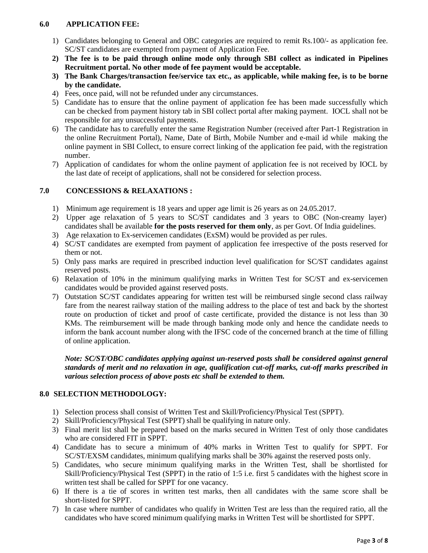#### **6.0 APPLICATION FEE:**

- 1) Candidates belonging to General and OBC categories are required to remit Rs.100/- as application fee. SC/ST candidates are exempted from payment of Application Fee.
- **2) The fee is to be paid through online mode only through SBI collect as indicated in Pipelines Recruitment portal. No other mode of fee payment would be acceptable.**
- **3) The Bank Charges/transaction fee/service tax etc., as applicable, while making fee, is to be borne by the candidate.**
- 4) Fees, once paid, will not be refunded under any circumstances.
- 5) Candidate has to ensure that the online payment of application fee has been made successfully which can be checked from payment history tab in SBI collect portal after making payment. IOCL shall not be responsible for any unsuccessful payments.
- 6) The candidate has to carefully enter the same Registration Number (received after Part-1 Registration in the online Recruitment Portal), Name, Date of Birth, Mobile Number and e-mail id while making the online payment in SBI Collect, to ensure correct linking of the application fee paid, with the registration number.
- 7) Application of candidates for whom the online payment of application fee is not received by IOCL by the last date of receipt of applications, shall not be considered for selection process.

# **7.0 CONCESSIONS & RELAXATIONS :**

- 1) Minimum age requirement is 18 years and upper age limit is 26 years as on 24.05.2017.
- 2) Upper age relaxation of 5 years to SC/ST candidates and 3 years to OBC (Non-creamy layer) candidates shall be available **for the posts reserved for them only**, as per Govt. Of India guidelines.
- 3) Age relaxation to Ex-servicemen candidates (ExSM) would be provided as per rules.
- 4) SC/ST candidates are exempted from payment of application fee irrespective of the posts reserved for them or not.
- 5) Only pass marks are required in prescribed induction level qualification for SC/ST candidates against reserved posts.
- 6) Relaxation of 10% in the minimum qualifying marks in Written Test for SC/ST and ex-servicemen candidates would be provided against reserved posts.
- 7) Outstation SC/ST candidates appearing for written test will be reimbursed single second class railway fare from the nearest railway station of the mailing address to the place of test and back by the shortest route on production of ticket and proof of caste certificate, provided the distance is not less than 30 KMs. The reimbursement will be made through banking mode only and hence the candidate needs to inform the bank account number along with the IFSC code of the concerned branch at the time of filling of online application.

*Note: SC/ST/OBC candidates applying against un-reserved posts shall be considered against general standards of merit and no relaxation in age, qualification cut-off marks, cut-off marks prescribed in various selection process of above posts etc shall be extended to them.*

# **8.0 SELECTION METHODOLOGY:**

- 1) Selection process shall consist of Written Test and Skill/Proficiency/Physical Test (SPPT).
- 2) Skill/Proficiency/Physical Test (SPPT) shall be qualifying in nature only.
- 3) Final merit list shall be prepared based on the marks secured in Written Test of only those candidates who are considered FIT in SPPT.
- 4) Candidate has to secure a minimum of 40% marks in Written Test to qualify for SPPT. For SC/ST/EXSM candidates, minimum qualifying marks shall be 30% against the reserved posts only.
- 5) Candidates, who secure minimum qualifying marks in the Written Test, shall be shortlisted for Skill/Proficiency/Physical Test (SPPT) in the ratio of 1:5 i.e. first 5 candidates with the highest score in written test shall be called for SPPT for one vacancy.
- 6) If there is a tie of scores in written test marks, then all candidates with the same score shall be short-listed for SPPT.
- 7) In case where number of candidates who qualify in Written Test are less than the required ratio, all the candidates who have scored minimum qualifying marks in Written Test will be shortlisted for SPPT.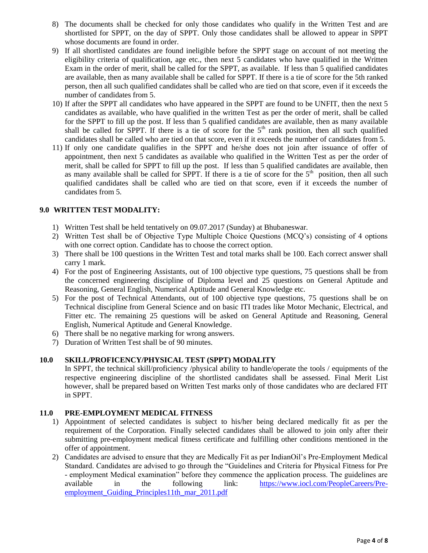- 8) The documents shall be checked for only those candidates who qualify in the Written Test and are shortlisted for SPPT, on the day of SPPT. Only those candidates shall be allowed to appear in SPPT whose documents are found in order.
- 9) If all shortlisted candidates are found ineligible before the SPPT stage on account of not meeting the eligibility criteria of qualification, age etc., then next 5 candidates who have qualified in the Written Exam in the order of merit, shall be called for the SPPT, as available. If less than 5 qualified candidates are available, then as many available shall be called for SPPT. If there is a tie of score for the 5th ranked person, then all such qualified candidates shall be called who are tied on that score, even if it exceeds the number of candidates from 5.
- 10) If after the SPPT all candidates who have appeared in the SPPT are found to be UNFIT, then the next 5 candidates as available, who have qualified in the written Test as per the order of merit, shall be called for the SPPT to fill up the post. If less than 5 qualified candidates are available, then as many available shall be called for SPPT. If there is a tie of score for the  $5<sup>th</sup>$  rank position, then all such qualified candidates shall be called who are tied on that score, even if it exceeds the number of candidates from 5.
- 11) If only one candidate qualifies in the SPPT and he/she does not join after issuance of offer of appointment, then next 5 candidates as available who qualified in the Written Test as per the order of merit, shall be called for SPPT to fill up the post. If less than 5 qualified candidates are available, then as many available shall be called for SPPT. If there is a tie of score for the  $5<sup>th</sup>$  position, then all such qualified candidates shall be called who are tied on that score, even if it exceeds the number of candidates from 5.

### **9.0 WRITTEN TEST MODALITY:**

- 1) Written Test shall be held tentatively on 09.07.2017 (Sunday) at Bhubaneswar.
- 2) Written Test shall be of Objective Type Multiple Choice Questions (MCQ's) consisting of 4 options with one correct option. Candidate has to choose the correct option.
- 3) There shall be 100 questions in the Written Test and total marks shall be 100. Each correct answer shall carry 1 mark.
- 4) For the post of Engineering Assistants, out of 100 objective type questions, 75 questions shall be from the concerned engineering discipline of Diploma level and 25 questions on General Aptitude and Reasoning, General English, Numerical Aptitude and General Knowledge etc.
- 5) For the post of Technical Attendants, out of 100 objective type questions, 75 questions shall be on Technical discipline from General Science and on basic ITI trades like Motor Mechanic, Electrical, and Fitter etc. The remaining 25 questions will be asked on General Aptitude and Reasoning, General English, Numerical Aptitude and General Knowledge.
- 6) There shall be no negative marking for wrong answers.
- 7) Duration of Written Test shall be of 90 minutes.

# **10.0 SKILL/PROFICENCY/PHYSICAL TEST (SPPT) MODALITY**

In SPPT, the technical skill/proficiency /physical ability to handle/operate the tools / equipments of the respective engineering discipline of the shortlisted candidates shall be assessed. Final Merit List however, shall be prepared based on Written Test marks only of those candidates who are declared FIT in SPPT.

# **11.0 PRE-EMPLOYMENT MEDICAL FITNESS**

- 1) Appointment of selected candidates is subject to his/her being declared medically fit as per the requirement of the Corporation. Finally selected candidates shall be allowed to join only after their submitting pre-employment medical fitness certificate and fulfilling other conditions mentioned in the offer of appointment.
- 2) Candidates are advised to ensure that they are Medically Fit as per IndianOil's Pre-Employment Medical Standard. Candidates are advised to go through the "Guidelines and Criteria for Physical Fitness for Pre - employment Medical examination" before they commence the application process. The guidelines are available in the following link: [https://www.iocl.com/PeopleCareers/Pre](https://www.iocl.com/PeopleCareers/Pre-employment_Guiding_Principles11th_mar_2011.pdf)employment Guiding Principles11th mar 2011.pdf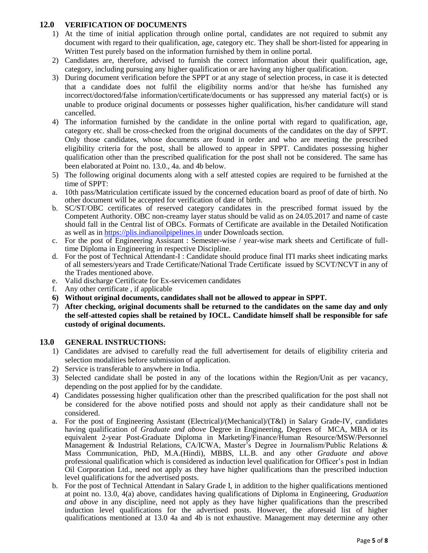# **12.0 VERIFICATION OF DOCUMENTS**

- 1) At the time of initial application through online portal, candidates are not required to submit any document with regard to their qualification, age, category etc. They shall be short-listed for appearing in Written Test purely based on the information furnished by them in online portal.
- 2) Candidates are, therefore, advised to furnish the correct information about their qualification, age, category, including pursuing any higher qualification or are having any higher qualification.
- 3) During document verification before the SPPT or at any stage of selection process, in case it is detected that a candidate does not fulfil the eligibility norms and/or that he/she has furnished any incorrect/doctored/false information/certificate/documents or has suppressed any material fact(s) or is unable to produce original documents or possesses higher qualification, his/her candidature will stand cancelled.
- 4) The information furnished by the candidate in the online portal with regard to qualification, age, category etc. shall be cross-checked from the original documents of the candidates on the day of SPPT. Only those candidates, whose documents are found in order and who are meeting the prescribed eligibility criteria for the post, shall be allowed to appear in SPPT. Candidates possessing higher qualification other than the prescribed qualification for the post shall not be considered. The same has been elaborated at Point no. 13.0., 4a. and 4b below.
- 5) The following original documents along with a self attested copies are required to be furnished at the time of SPPT:
- a. 10th pass/Matriculation certificate issued by the concerned education board as proof of date of birth. No other document will be accepted for verification of date of birth.
- b. SC/ST/OBC certificates of reserved category candidates in the prescribed format issued by the Competent Authority. OBC non-creamy layer status should be valid as on 24.05.2017 and name of caste should fall in the Central list of OBCs. Formats of Certificate are available in the Detailed Notification as well as in [https://plis.indianoilpipelines.in](https://plis.indianoilpipelines.in/) under Downloads section.
- c. For the post of Engineering Assistant : Semester-wise / year-wise mark sheets and Certificate of fulltime Diploma in Engineering in respective Discipline.
- d. For the post of Technical Attendant-I : Candidate should produce final ITI marks sheet indicating marks of all semesters/years and Trade Certificate/National Trade Certificate issued by SCVT/NCVT in any of the Trades mentioned above.
- e. Valid discharge Certificate for Ex-servicemen candidates
- f. Any other certificate , if applicable
- **6) Without original documents, candidates shall not be allowed to appear in SPPT.**
- 7) **After checking, original documents shall be returned to the candidates on the same day and only the self-attested copies shall be retained by IOCL. Candidate himself shall be responsible for safe custody of original documents.**

#### **13.0 GENERAL INSTRUCTIONS:**

- 1) Candidates are advised to carefully read the full advertisement for details of eligibility criteria and selection modalities before submission of application.
- 2) Service is transferable to anywhere in India.
- 3) Selected candidate shall be posted in any of the locations within the Region/Unit as per vacancy, depending on the post applied for by the candidate.
- 4) Candidates possessing higher qualification other than the prescribed qualification for the post shall not be considered for the above notified posts and should not apply as their candidature shall not be considered.
- a. For the post of Engineering Assistant (Electrical)/(Mechanical)/(T&I) in Salary Grade-IV, candidates having qualification of *Graduate and above* Degree in Engineering, Degrees of MCA, MBA or its equivalent 2-year Post-Graduate Diploma in Marketing/Finance/Human Resource/MSW/Personnel Management & Industrial Relations, CA/ICWA, Master's Degree in Journalism/Public Relations & Mass Communication, PhD, M.A.(Hindi), MBBS, LL.B. and any other *Graduate and above* professional qualification which is considered as induction level qualification for Officer's post in Indian Oil Corporation Ltd., need not apply as they have higher qualifications than the prescribed induction level qualifications for the advertised posts.
- b. For the post of Technical Attendant in Salary Grade I, in addition to the higher qualifications mentioned at point no. 13.0, 4(a) above, candidates having qualifications of Diploma in Engineering, *Graduation and above* in any discipline, need not apply as they have higher qualifications than the prescribed induction level qualifications for the advertised posts. However, the aforesaid list of higher qualifications mentioned at 13.0 4a and 4b is not exhaustive. Management may determine any other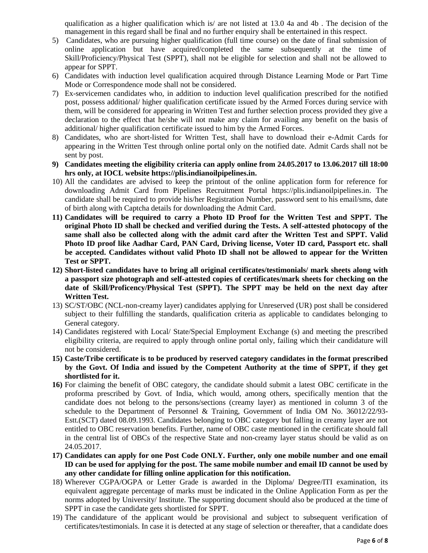qualification as a higher qualification which is/ are not listed at 13.0 4a and 4b . The decision of the management in this regard shall be final and no further enquiry shall be entertained in this respect.

- 5) Candidates, who are pursuing higher qualification (full time course) on the date of final submission of online application but have acquired/completed the same subsequently at the time of Skill/Proficiency/Physical Test (SPPT), shall not be eligible for selection and shall not be allowed to appear for SPPT.
- 6) Candidates with induction level qualification acquired through Distance Learning Mode or Part Time Mode or Correspondence mode shall not be considered.
- 7) Ex-servicemen candidates who, in addition to induction level qualification prescribed for the notified post, possess additional/ higher qualification certificate issued by the Armed Forces during service with them, will be considered for appearing in Written Test and further selection process provided they give a declaration to the effect that he/she will not make any claim for availing any benefit on the basis of additional/ higher qualification certificate issued to him by the Armed Forces.
- 8) Candidates, who are short-listed for Written Test, shall have to download their e-Admit Cards for appearing in the Written Test through online portal only on the notified date. Admit Cards shall not be sent by post.
- **9) Candidates meeting the eligibility criteria can apply online from 24.05.2017 to 13.06.2017 till 18:00 hrs only, at IOCL website [https://plis.indianoilpipelines.in.](https://plis.indianoilpipelines.in/)**
- 10) All the candidates are advised to keep the printout of the online application form for reference for downloading Admit Card from Pipelines Recruitment Portal [https://plis.indianoilpipelines.in.](https://plis.indianoilpipelines.in/) The candidate shall be required to provide his/her Registration Number, password sent to his email/sms, date of birth along with Captcha details for downloading the Admit Card.
- **11) Candidates will be required to carry a Photo ID Proof for the Written Test and SPPT. The original Photo ID shall be checked and verified during the Tests. A self-attested photocopy of the same shall also be collected along with the admit card after the Written Test and SPPT. Valid Photo ID proof like Aadhar Card, PAN Card, Driving license, Voter ID card, Passport etc. shall be accepted. Candidates without valid Photo ID shall not be allowed to appear for the Written Test or SPPT.**
- **12) Short-listed candidates have to bring all original certificates/testimonials/ mark sheets along with a passport size photograph and self-attested copies of certificates/mark sheets for checking on the date of Skill/Proficency/Physical Test (SPPT). The SPPT may be held on the next day after Written Test.**
- 13) SC/ST/OBC (NCL-non-creamy layer) candidates applying for Unreserved (UR) post shall be considered subject to their fulfilling the standards, qualification criteria as applicable to candidates belonging to General category.
- 14) Candidates registered with Local/ State/Special Employment Exchange (s) and meeting the prescribed eligibility criteria, are required to apply through online portal only, failing which their candidature will not be considered.
- **15) Caste/Tribe certificate is to be produced by reserved category candidates in the format prescribed by the Govt. Of India and issued by the Competent Authority at the time of SPPT, if they get shortlisted for it.**
- **16)** For claiming the benefit of OBC category, the candidate should submit a latest OBC certificate in the proforma prescribed by Govt. of India, which would, among others, specifically mention that the candidate does not belong to the persons/sections (creamy layer) as mentioned in column 3 of the schedule to the Department of Personnel & Training, Government of India OM No. 36012/22/93- Estt.(SCT) dated 08.09.1993. Candidates belonging to OBC category but falling in creamy layer are not entitled to OBC reservation benefits. Further, name of OBC caste mentioned in the certificate should fall in the central list of OBCs of the respective State and non-creamy layer status should be valid as on 24.05.2017.
- **17) Candidates can apply for one Post Code ONLY. Further, only one mobile number and one email ID can be used for applying for the post. The same mobile number and email ID cannot be used by any other candidate for filling online application for this notification.**
- 18) Wherever CGPA/OGPA or Letter Grade is awarded in the Diploma/ Degree/ITI examination, its equivalent aggregate percentage of marks must be indicated in the Online Application Form as per the norms adopted by University/ Institute. The supporting document should also be produced at the time of SPPT in case the candidate gets shortlisted for SPPT.
- 19) The candidature of the applicant would be provisional and subject to subsequent verification of certificates/testimonials. In case it is detected at any stage of selection or thereafter, that a candidate does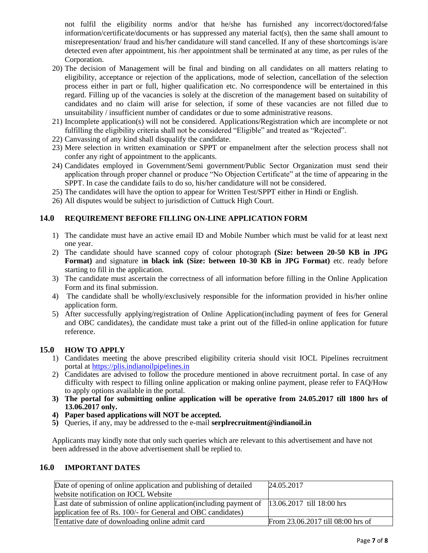not fulfil the eligibility norms and/or that he/she has furnished any incorrect/doctored/false information/certificate/documents or has suppressed any material fact(s), then the same shall amount to misrepresentation/ fraud and his/her candidature will stand cancelled. If any of these shortcomings is/are detected even after appointment, his /her appointment shall be terminated at any time, as per rules of the Corporation.

- 20) The decision of Management will be final and binding on all candidates on all matters relating to eligibility, acceptance or rejection of the applications, mode of selection, cancellation of the selection process either in part or full, higher qualification etc. No correspondence will be entertained in this regard. Filling up of the vacancies is solely at the discretion of the management based on suitability of candidates and no claim will arise for selection, if some of these vacancies are not filled due to unsuitability / insufficient number of candidates or due to some administrative reasons.
- 21) Incomplete application(s) will not be considered. Applications/Registration which are incomplete or not fulfilling the eligibility criteria shall not be considered "Eligible" and treated as "Rejected".
- 22) Canvassing of any kind shall disqualify the candidate.
- 23) Mere selection in written examination or SPPT or empanelment after the selection process shall not confer any right of appointment to the applicants.
- 24) Candidates employed in Government/Semi government/Public Sector Organization must send their application through proper channel or produce "No Objection Certificate" at the time of appearing in the SPPT. In case the candidate fails to do so, his/her candidature will not be considered.
- 25) The candidates will have the option to appear for Written Test/SPPT either in Hindi or English.
- 26) All disputes would be subject to jurisdiction of Cuttuck High Court.

# **14.0 REQUIREMENT BEFORE FILLING ON-LINE APPLICATION FORM**

- 1) The candidate must have an active email ID and Mobile Number which must be valid for at least next one year.
- 2) The candidate should have scanned copy of colour photograph **(Size: between 20-50 KB in JPG Format)** and signature i**n black ink (Size: between 10-30 KB in JPG Format)** etc. ready before starting to fill in the application.
- 3) The candidate must ascertain the correctness of all information before filling in the Online Application Form and its final submission.
- 4) The candidate shall be wholly/exclusively responsible for the information provided in his/her online application form.
- 5) After successfully applying/registration of Online Application(including payment of fees for General and OBC candidates), the candidate must take a print out of the filled-in online application for future reference.

#### **15.0 HOW TO APPLY**

- 1) Candidates meeting the above prescribed eligibility criteria should visit IOCL Pipelines recruitment portal at [https://plis.indianoilpipelines.in](https://plis.indianoilpipelines.in/)
- 2) Candidates are advised to follow the procedure mentioned in above recruitment portal. In case of any difficulty with respect to filling online application or making online payment, please refer to FAQ/How to apply options available in the portal.
- **3) The portal for submitting online application will be operative from 24.05.2017 till 1800 hrs of 13.06.2017 only.**
- **4) Paper based applications will NOT be accepted.**
- **5)** Queries, if any, may be addressed to the e-mail **serplrecruitment@indianoil.in**

Applicants may kindly note that only such queries which are relevant to this advertisement and have not been addressed in the above advertisement shall be replied to.

#### **16.0 IMPORTANT DATES**

| Date of opening of online application and publishing of detailed    | 24.05.2017                        |
|---------------------------------------------------------------------|-----------------------------------|
| website notification on IOCL Website                                |                                   |
| Last date of submission of online application (including payment of | $13.06.2017$ till 18:00 hrs       |
| application fee of Rs. 100/- for General and OBC candidates)        |                                   |
| Tentative date of downloading online admit card                     | From 23.06.2017 till 08:00 hrs of |